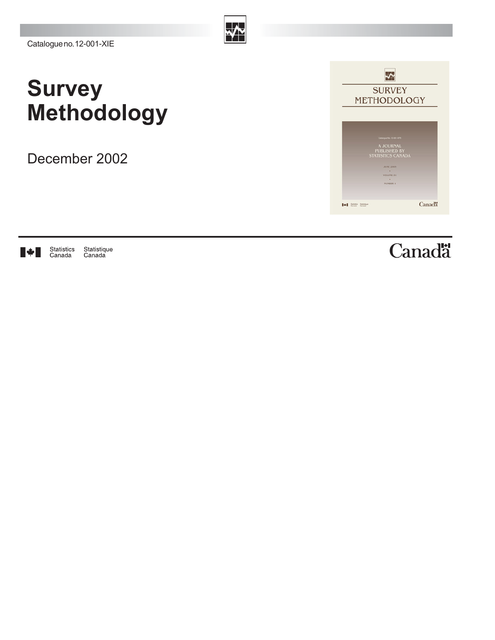## **Survey Methodology**

December 2002



Statistics<br>Canada Statistique<br>Canada IV I

Canadä<sup>t</sup>

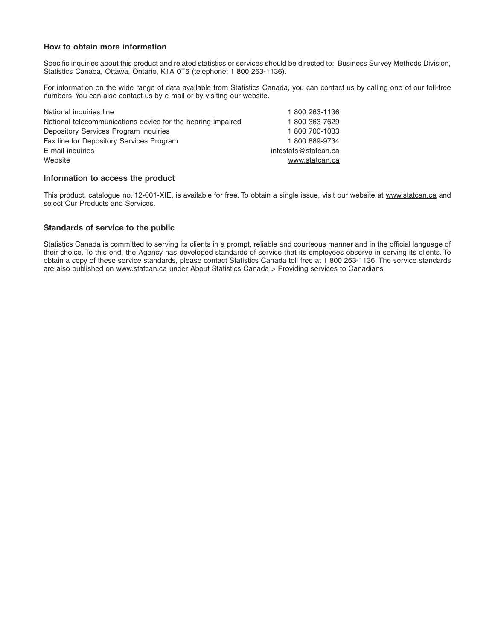#### **How to obtain more information**

Specific inquiries about this product and related statistics or services should be directed to: Business Survey Methods Division, Statistics Canada, Ottawa, Ontario, K1A 0T6 (telephone: 1 800 263-1136).

For information on the wide range of data available from Statistics Canada, you can contact us by calling one of our toll-free numbers. You can also contact us by e-mail or by visiting our website.

| National inquiries line                                     | 1800 263-1136        |
|-------------------------------------------------------------|----------------------|
| National telecommunications device for the hearing impaired | 1800 363-7629        |
| Depository Services Program inquiries                       | 1800 700-1033        |
| Fax line for Depository Services Program                    | 1800889-9734         |
| E-mail inquiries                                            | infostats@statcan.ca |
| Website                                                     | www.statcan.ca       |
|                                                             |                      |

#### **Information to access the product**

This product, catalogue no. 12-001-XIE, is available for free. To obtain a single issue, visit our website at www.statcan.ca and select Our Products and Services.

#### **Standards of service to the public**

Statistics Canada is committed to serving its clients in a prompt, reliable and courteous manner and in the official language of their choice. To this end, the Agency has developed standards of service that its employees observe in serving its clients. To obtain a copy of these service standards, please contact Statistics Canada toll free at 1 800 263-1136. The service standards are also published on www.statcan.ca under About Statistics Canada > Providing services to Canadians.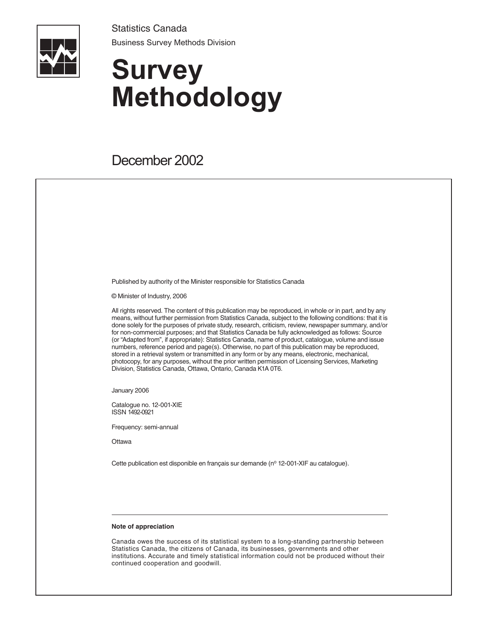Statistics Canada Business Survey Methods Division



# **Survey Methodology**

### December 2002

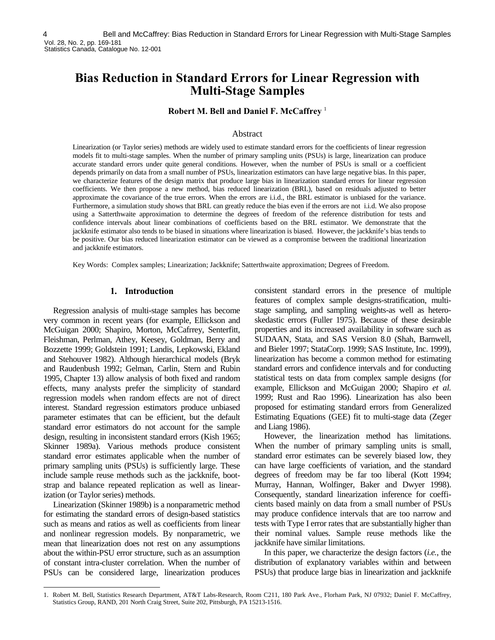### **Bias Reduction in Standard Errors for Linear Regression with Multi-Stage Samples**

**Robert M. Bell and Daniel F. McCaffrey** <sup>1</sup>

#### Abstract

Linearization (or Taylor series) methods are widely used to estimate standard errors for the coefficients of linear regression models fit to multi-stage samples. When the number of primary sampling units (PSUs) is large, linearization can produce accurate standard errors under quite general conditions. However, when the number of PSUs is small or a coefficient depends primarily on data from a small number of PSUs, linearization estimators can have large negative bias. In this paper, we characterize features of the design matrix that produce large bias in linearization standard errors for linear regression coefficients. We then propose a new method, bias reduced linearization (BRL), based on residuals adjusted to better approximate the covariance of the true errors. When the errors are i.i.d., the BRL estimator is unbiased for the variance. Furthermore, a simulation study shows that BRL can greatly reduce the bias even if the errors are not i.i.d. We also propose using a Satterthwaite approximation to determine the degrees of freedom of the reference distribution for tests and confidence intervals about linear combinations of coefficients based on the BRL estimator. We demonstrate that the jackknife estimator also tends to be biased in situations where linearization is biased. However, the jackknife's bias tends to be positive. Our bias reduced linearization estimator can be viewed as a compromise between the traditional linearization and jackknife estimators.

Key Words: Complex samples; Linearization; Jackknife; Satterthwaite approximation; Degrees of Freedom.

#### **1. Introduction**

Regression analysis of multi-stage samples has become very common in recent years (for example, Ellickson and McGuigan 2000; Shapiro, Morton, McCafrrey, Senterfitt, Fleishman, Perlman, Athey, Keesey, Goldman, Berry and Bozzette 1999; Goldstein 1991; Landis, Lepkowski, Ekland and Stehouver 1982). Although hierarchical models (Bryk and Raudenbush 1992; Gelman, Carlin, Stern and Rubin 1995, Chapter 13) allow analysis of both fixed and random effects, many analysts prefer the simplicity of standard regression models when random effects are not of direct interest. Standard regression estimators produce unbiased parameter estimates that can be efficient, but the default standard error estimators do not account for the sample design, resulting in inconsistent standard errors (Kish 1965; Skinner 1989a). Various methods produce consistent standard error estimates applicable when the number of primary sampling units (PSUs) is sufficiently large. These include sample reuse methods such as the jackknife, bootstrap and balance repeated replication as well as linearization (or Taylor series) methods.

Linearization (Skinner 1989b) is a nonparametric method for estimating the standard errors of design-based statistics such as means and ratios as well as coefficients from linear and nonlinear regression models. By nonparametric, we mean that linearization does not rest on any assumptions about the within-PSU error structure, such as an assumption of constant intra-cluster correlation. When the number of PSUs can be considered large, linearization produces

-

consistent standard errors in the presence of multiple features of complex sample designs-stratification, multistage sampling, and sampling weights-as well as heteroskedastic errors (Fuller 1975). Because of these desirable properties and its increased availability in software such as SUDAAN, Stata, and SAS Version 8.0 (Shah, Barnwell, and Bieler 1997; StataCorp. 1999; SAS Institute, Inc. 1999), linearization has become a common method for estimating standard errors and confidence intervals and for conducting statistical tests on data from complex sample designs (for example, Ellickson and McGuigan 2000; Shapiro *et al.* 1999; Rust and Rao 1996). Linearization has also been proposed for estimating standard errors from Generalized Estimating Equations (GEE) fit to multi-stage data (Zeger and Liang 1986).

However, the linearization method has limitations. When the number of primary sampling units is small, standard error estimates can be severely biased low, they can have large coefficients of variation, and the standard degrees of freedom may be far too liberal (Kott 1994; Murray, Hannan, Wolfinger, Baker and Dwyer 1998). Consequently, standard linearization inference for coefficients based mainly on data from a small number of PSUs may produce confidence intervals that are too narrow and tests with Type I error rates that are substantially higher than their nominal values. Sample reuse methods like the jackknife have similar limitations.

In this paper, we characterize the design factors (*i.e.*, the distribution of explanatory variables within and between PSUs) that produce large bias in linearization and jackknife

<sup>1.</sup> Robert M. Bell, Statistics Research Department, AT&T Labs-Research, Room C211, 180 Park Ave., Florham Park, NJ 07932; Daniel F. McCaffrey, Statistics Group, RAND, 201 North Craig Street, Suite 202, Pittsburgh, PA 15213-1516.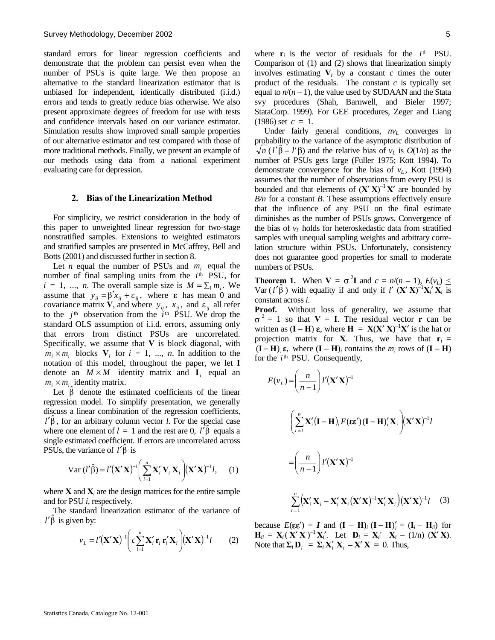standard errors for linear regression coefficients and demonstrate that the problem can persist even when the number of PSUs is quite large. We then propose an alternative to the standard linearization estimator that is unbiased for independent, identically distributed (i.i.d.) errors and tends to greatly reduce bias otherwise. We also present approximate degrees of freedom for use with tests and confidence intervals based on our variance estimator. Simulation results show improved small sample properties of our alternative estimator and test compared with those of more traditional methods. Finally, we present an example of our methods using data from a national experiment evaluating care for depression.

#### **2. Bias of the Linearization Method**

For simplicity, we restrict consideration in the body of this paper to unweighted linear regression for two-stage nonstratified samples. Extensions to weighted estimators and stratified samples are presented in McCaffrey, Bell and Botts (2001) and discussed further in section 8.

Let *n* equal the number of PSUs and *m<sub>i</sub>* equal the number of final sampling units from the *i*<sup>th</sup> PSU, for  $i = 1, ..., n$ . The overall sample size is  $M = \sum_i m_i$ . We assume that  $y_{ij} = \beta' x_{ij} + \varepsilon_{ij}$ , where **ε** has mean 0 and covariance matrix **V**, and where  $y_{ij}$ ,  $x_{ij}$ , and  $\varepsilon_{ij}$  all refer to the  $j<sup>th</sup>$  observation from the  $i<sup>th</sup>$  PSU. We drop the standard OLS assumption of i.i.d. errors, assuming only that errors from distinct PSUs are uncorrelated. Specifically, we assume that **V** is block diagonal, with  $m_i \times m_i$  blocks  $V_i$  for  $i = 1, ..., n$ . In addition to the notation of this model, throughout the paper, we let **I** denote an  $M \times M$  identity matrix and **I**<sub>i</sub> equal an  $m_i \times m_i$  identity matrix.

Let  $\hat{\beta}$  denote the estimated coefficients of the linear regression model. To simplify presentation, we generally discuss a linear combination of the regression coefficients,  $l' \hat{\beta}$ , for an arbitrary column vector *l*. For the special case where one element of  $l = 1$  and the rest are 0,  $l' \hat{\beta}$  equals a single estimated coefficient. If errors are uncorrelated across PSUs, the variance of  $l' \hat{\beta}$  is

$$
\text{Var}\left(l'\hat{\beta}\right) = l'\left(\mathbf{X}'\mathbf{X}\right)^{-1}\left(\sum_{i=1}^{n} \mathbf{X}'_i \mathbf{V}_i \mathbf{X}_i\right) \left(\mathbf{X}'\mathbf{X}\right)^{-1} l,\qquad(1)
$$

where  $X$  and  $X_i$  are the design matrices for the entire sample and for PSU *i,* respectively.

The standard linearization estimator of the variance of  $l' \hat{\beta}$  is given by:

$$
v_L = l'(\mathbf{X}'\mathbf{X})^{-1} \bigg( c \sum_{i=1}^n \mathbf{X}'_i \mathbf{r}_i \mathbf{r}'_i \mathbf{X}_i \bigg) (\mathbf{X}'\mathbf{X})^{-1} l \qquad (2)
$$

where  $\mathbf{r}_i$  is the vector of residuals for the  $i^{\text{th}}$  PSU. Comparison of (1) and (2) shows that linearization simply involves estimating  $V_i$  by a constant  $c$  times the outer product of the residuals*.* The constant *c* is typically set equal to  $n/(n-1)$ , the value used by SUDAAN and the Stata svy procedures (Shah, Barnwell, and Bieler 1997; StataCorp. 1999). For GEE procedures, Zeger and Liang  $(1986)$  set  $c = 1$ .

Under fairly general conditions,  $nv<sub>L</sub>$  converges in probability to the variance of the asymptotic distribution of  $\frac{\partial}{\partial n}$  ( $l' \hat{\beta} - l' \beta$ ) and the relative bias of  $v_L$  is  $O(1/n)$  as the number of PSUs gets large (Fuller 1975; Kott 1994). To demonstrate convergence for the bias of  $v_L$ , Kott (1994) assumes that the number of observations from every PSU is bounded and that elements of  $(X'X)^{-1}X'$  are bounded by *B/n* for a constant *B*. These assumptions effectively ensure that the influence of any PSU on the final estimate diminishes as the number of PSUs grows. Convergence of the bias of  $v_L$  holds for heteroskedastic data from stratified samples with unequal sampling weights and arbitrary correlation structure within PSUs. Unfortunately, consistency does not guarantee good properties for small to moderate numbers of PSUs.

**Theorem 1.** When  $V = \sigma^2 I$  and  $c = n/(n-1)$ ,  $E(v_L) \le$ Var  $(l'\hat{\beta})$  with equality if and only if  $l'$   $(X'X)^{-1}X_i'X_i$  is constant across *i*.

**Proof.** Without loss of generality, we assume that  $\sigma^2 = 1$  so that **V** = **I**. The residual vector **r** can be written as  $(I - H) \varepsilon$ , where  $H = X(X'X)^{-1}X'$  is the hat or projection matrix for **X**. Thus, we have that  $\mathbf{r}_i =$  $(I - H)$ <sub>i</sub> $\varepsilon$ , where  $(I - H)$ <sub>*i*</sub> contains the  $m_i$  rows of  $(I - H)$ for the *i*<sup>th</sup> PSU. Consequently,

$$
E(v_L) = \left(\frac{n}{n-1}\right) l'(\mathbf{X}'\mathbf{X})^{-1}
$$
  

$$
\left(\sum_{i=1}^{n} \mathbf{X}'_i (\mathbf{I} - \mathbf{H})_i E(\varepsilon \varepsilon') (\mathbf{I} - \mathbf{H})'_i \mathbf{X}_i\right) (\mathbf{X}'\mathbf{X})^{-1} l
$$
  

$$
= \left(\frac{n}{n-1}\right) l'(\mathbf{X}'\mathbf{X})^{-1}
$$
  

$$
\sum_{i=1}^{n} (\mathbf{X}'_i \mathbf{X}_i - \mathbf{X}'_i \mathbf{X}_i (\mathbf{X}'\mathbf{X})^{-1} \mathbf{X}'_i \mathbf{X}_i) (\mathbf{X}'\mathbf{X})^{-1} l \quad (3)
$$

because  $E(\varepsilon \varepsilon') = I$  and  $(I - H)$ <sub>*i*</sub>  $(I - H)$ <sub>*i*</sub> =  $(I_i - H)$ <sub>*ii*</sub>) for **H**<sub>ii</sub> =  $X_i (X'X)^{-1}X'_i$ . Let  $D_i = X'_i X_i - (1/n) (X'X)$ . Note that  $\Sigma_i \mathbf{D}_i = \Sigma_i \mathbf{X}_i' \mathbf{X}_i - \mathbf{X}' \mathbf{X} = 0$ . Thus,

1

=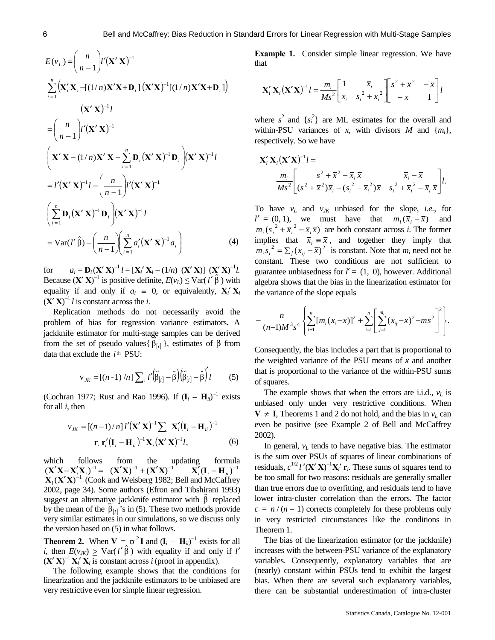$$
E(v_L) = \left(\frac{n}{n-1}\right)l'\left(\mathbf{X}'\mathbf{X}\right)^{-1}
$$
  
\n
$$
\sum_{i=1}^{n} \left(\mathbf{X}'_i\mathbf{X}_i - \left[(1/n)\mathbf{X}'\mathbf{X} + \mathbf{D}_i\right]\left(\mathbf{X}'\mathbf{X}\right)^{-1}\left[(1/n)\mathbf{X}'\mathbf{X} + \mathbf{D}_i\right]\right)
$$
  
\n
$$
\left(\mathbf{X}'\mathbf{X}\right)^{-1}l
$$
  
\n
$$
= \left(\frac{n}{n-1}\right)l'\left(\mathbf{X}'\mathbf{X}\right)^{-1}
$$
  
\n
$$
\left(\mathbf{X}'\mathbf{X} - (1/n)\mathbf{X}'\mathbf{X} - \sum_{i=1}^{n} \mathbf{D}_i\left(\mathbf{X}'\mathbf{X}\right)^{-1}\mathbf{D}_i\right)\left(\mathbf{X}'\mathbf{X}\right)^{-1}l
$$
  
\n
$$
= l'\left(\mathbf{X}'\mathbf{X}\right)^{-1}l - \left(\frac{n}{n-1}\right)l'\left(\mathbf{X}'\mathbf{X}\right)^{-1}
$$
  
\n
$$
\left(\sum_{i=1}^{n} \mathbf{D}_i\left(\mathbf{X}'\mathbf{X}\right)^{-1}\mathbf{D}_i\right)\left(\mathbf{X}'\mathbf{X}\right)^{-1}l
$$
  
\n
$$
= \text{Var}(l'\hat{\beta}) - \left(\frac{n}{n-1}\right)\left(\sum_{i=1}^{n} a'_i\left(\mathbf{X}'\mathbf{X}\right)^{-1}a_i\right) \tag{4}
$$

for  $a_i = \mathbf{D}_i (\mathbf{X}' \mathbf{X})^{-1} l = [\mathbf{X}'_i \mathbf{X}_i - (1/n) (\mathbf{X}' \mathbf{X})] (\mathbf{X}' \mathbf{X})^{-1} l.$ Because  $(X'X)^{-1}$  is positive definite,  $E(v_L) \leq \text{Var}(l' \hat{\beta})$  with equality if and only if  $a_i \equiv 0$ , or equivalently,  $X_i' X_i$  $(X' X)^{-1} l$  is constant across the *i*.

Replication methods do not necessarily avoid the problem of bias for regression variance estimators. A jackknife estimator for multi-stage samples can be derived from the set of pseudo values{  $β_{[i]}$ }, estimates of β from data that exclude the *i*<sup>th</sup> PSU:

$$
\mathbf{v}_{JK} = [(n-1)/n] \sum_i l' \left(\widetilde{\boldsymbol{\beta}}_{[i]} - \hat{\boldsymbol{\beta}}\right) \left(\widetilde{\boldsymbol{\beta}}_{[i]} - \hat{\boldsymbol{\beta}}\right) l \tag{5}
$$

(Cochran 1977; Rust and Rao 1996). If  $(I_i - H_{ii})^{-1}$  exists for all *i*, then

$$
v_{JK} = [(n-1)/n] l' (\mathbf{X}' \mathbf{X})^{-1} \sum_i \mathbf{X}'_i (\mathbf{I}_i - \mathbf{H}_{ii})^{-1}
$$
  

$$
\mathbf{r}_i \mathbf{r}'_i (\mathbf{I}_i - \mathbf{H}_{ii})^{-1} \mathbf{X}_i (\mathbf{X}' \mathbf{X})^{-1} l,
$$
 (6)

which follows from the updating formula  $({\bf X}'{\bf X}-{\bf X}'_i{\bf X}_i)^{-1} = ({\bf X}'{\bf X})^{-1}+({\bf X}'{\bf X})^{-1}$  ${\bf X}_i'({\bf I}_i - {\bf H}_{ii})^{-1}$  $(X'X - X_i'X_i)^{-1} = (X'X)^{-1} + (X'X)^{-1}$   $X_i'(I_i - H_{ii})^{-1}$ <br> $X_i(X'X)^{-1}$  (Cook and Weisberg 1982; Bell and McCaffrey 2002, page 34). Some authors (Efron and Tibshirani 1993) suggest an alternative jackknife estimator with  $\hat{\beta}$  replaced by the mean of the  $\tilde{\beta}_{[i]}$ 's in (5). These two methods provide very similar estimates in our simulations, so we discuss only the version based on (5) in what follows.

**Theorem 2.** When  $V = \sigma^2 I$  and  $(I_i - H_{ii})^{-1}$  exists for all *i*, then  $E(v_{JK}) \geq \text{Var}(l'\hat{\beta})$  with equality if and only if *l'*  $(X' X)^{-1} X_i' X_i$  is constant across *i* (proof in appendix).

The following example shows that the conditions for linearization and the jackknife estimators to be unbiased are very restrictive even for simple linear regression.

**Example 1.** Consider simple linear regression. We have that

$$
\mathbf{X}'_i \mathbf{X}_i (\mathbf{X}' \mathbf{X})^{-1} l = \frac{m_i}{Ms^2} \begin{bmatrix} 1 & \overline{x}_i \\ \overline{x}_i & s_i^2 + \overline{x}_i^2 \end{bmatrix} \begin{bmatrix} s^2 + \overline{x}^2 & -\overline{x} \\ -\overline{x} & 1 \end{bmatrix} l
$$

where  $s^2$  and  $\{s_i^2\}$  are ML estimates for the overall and within-PSU variances of *x,* with divisors *M* and {*mi*}, respectively. So we have

$$
\mathbf{X}'_i \mathbf{X}_i (\mathbf{X}' \mathbf{X})^{-1} l = \frac{m_i}{Ms^2} \left[ \frac{s^2 + \overline{x}^2 - \overline{x}_i \, \overline{x}}{(s^2 + \overline{x}^2) \overline{x}_i - (s_i^2 + \overline{x}_i^2) \overline{x}} \frac{\overline{x}_i - \overline{x}}{s_i^2 + \overline{x}_i^2 - \overline{x}_i \, \overline{x}} \right] l.
$$

To have  $v_L$  and  $v_{JK}$  unbiased for the slope, *i.e.*, for  $l' = (0, 1)$ , we must have that  $m_i(\bar{x}_i - \bar{x})$  and  $m_i ( s_i^2 + \overline{x}_i^2 - \overline{x}_i \overline{x} )$  are both constant across *i*. The former implies that  $\bar{x}_i \equiv \bar{x}$ , and together they imply that  $m_i s_i^2 = \sum_j (x_{ij} - \overline{x})^2$  is constant. Note that  $m_i$  need not be constant. These two conditions are not sufficient to guarantee unbiasedness for  $l' = (1, 0)$ , however. Additional algebra shows that the bias in the linearization estimator for the variance of the slope equals

$$
-\frac{n}{(n-1)M^{3}s^{4}}\left\{\sum_{i=1}^{n}[m_{i}(\bar{x}_{i}-\bar{x})]^{2}+\sum_{i=1}^{n}\left[\sum_{j=1}^{m_{i}}(x_{ij}-\bar{x})^{2}-\bar{m}s^{2}\right]^{2}\right\}.
$$

Consequently, the bias includes a part that is proportional to the weighted variance of the PSU means of *x* and another that is proportional to the variance of the within-PSU sums of squares.

The example shows that when the errors are i.i.d.,  $v_L$  is unbiased only under very restrictive conditions. When **V** ≠ **I**, Theorems 1 and 2 do not hold, and the bias in  $v<sub>L</sub>$  can even be positive (see Example 2 of Bell and McCaffrey 2002).

In general,  $v<sub>L</sub>$  tends to have negative bias. The estimator is the sum over PSUs of squares of linear combinations of residuals,  $c^{1/2} l'(\mathbf{X}'\mathbf{X})^{-1}\mathbf{X}'_i \mathbf{r}_i$ . These sums of squares tend to be too small for two reasons: residuals are generally smaller than true errors due to overfitting, and residuals tend to have lower intra-cluster correlation than the errors. The factor  $c = n/(n-1)$  corrects completely for these problems only in very restricted circumstances like the conditions in Theorem 1.

The bias of the linearization estimator (or the jackknife) increases with the between-PSU variance of the explanatory variables. Consequently, explanatory variables that are (nearly) constant within PSUs tend to exhibit the largest bias. When there are several such explanatory variables, there can be substantial underestimation of intra-cluster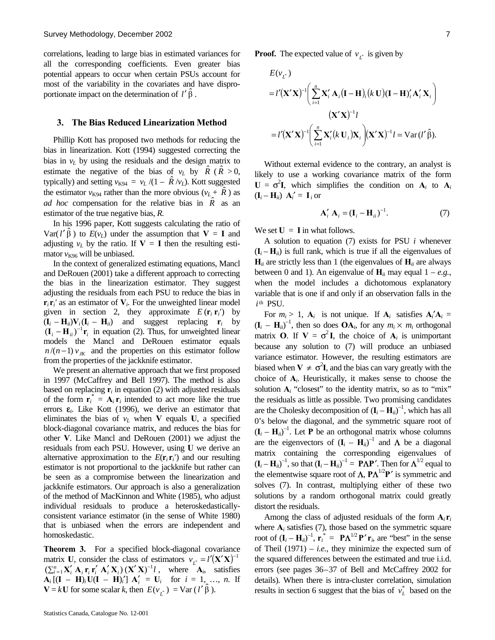correlations, leading to large bias in estimated variances for all the corresponding coefficients. Even greater bias potential appears to occur when certain PSUs account for most of the variability in the covariates and have disproportionate impact on the determination of  $l' \hat{\beta}$ .

#### **3. The Bias Reduced Linearization Method**

Phillip Kott has proposed two methods for reducing the bias in linearization. Kott (1994) suggested correcting the bias in  $v_l$  by using the residuals and the design matrix to estimate the negative of the bias of  $v_L$  by  $\overline{R}$  ( $\overline{R}$  > 0, typically) and setting  $v_{K94} = v_L / (1 - \hat{R}/v_L)$ . Kott suggested the estimator  $v_{K94}$  rather than the more obvious ( $v_L + R$ ) as *ad hoc* compensation for the relative bias in *R*ˆ as an estimator of the true negative bias, *R.*

In his 1996 paper, Kott suggests calculating the ratio of  $Var(l' \hat{\beta})$  to  $E(v_L)$  under the assumption that  $V = I$  and adjusting  $v_L$  by the ratio. If  $V = I$  then the resulting estimator  $v_{K96}$  will be unbiased.

In the context of generalized estimating equations, Mancl and DeRouen (2001) take a different approach to correcting the bias in the linearization estimator. They suggest adjusting the residuals from each PSU to reduce the bias in  $\mathbf{r}_i \mathbf{r}_i'$  as an estimator of  $\mathbf{V}_i$ . For the unweighted linear model given in section 2, they approximate  $E(\mathbf{r}_i \mathbf{r}_i)$  by  $(\mathbf{I}_i - \mathbf{H}_{ii})\mathbf{V}_i(\mathbf{I}_i - \mathbf{H}_{ii})$  and suggest replacing  $\mathbf{r}_i$  by  $(i_{i} - H_{ii})^{-1}r_{i}$  in equation (2). Thus, for unweighted linear models the Mancl and DeRouen estimator equals  $n/(n-1) v_{K}$  and the properties on this estimator follow from the properties of the jackknife estimator.

We present an alternative approach that we first proposed in 1997 (McCaffrey and Bell 1997). The method is also based on replacing  $\mathbf{r}_i$  in equation (2) with adjusted residuals of the form  $\mathbf{r}_i^* = \mathbf{A}_i \mathbf{r}_i$  intended to act more like the true errors  $\varepsilon$ <sub>*i*</sub>. Like Kott (1996), we derive an estimator that eliminates the bias of  $v_L$  when **V** equals **U**, a specified block-diagonal covariance matrix, and reduces the bias for other **V**. Like Mancl and DeRouen (2001) we adjust the residuals from each PSU. However, using **U** we derive an alternative approximation to the  $E(\mathbf{r}_i \mathbf{r}_i)$  and our resulting estimator is not proportional to the jackknife but rather can be seen as a compromise between the linearization and jackknife estimators. Our approach is also a generalization of the method of MacKinnon and White (1985), who adjust individual residuals to produce a heteroskedasticallyconsistent variance estimator (in the sense of White 1980) that is unbiased when the errors are independent and homoskedastic.

**Theorem 3.** For a specified block-diagonal covariance matrix **U**, consider the class of estimators  $v_{\mathbf{i}^*} = l'(\mathbf{X}'\mathbf{X})^{-1}$  $\left(\sum_{i=1}^{n} \mathbf{X}'_i \mathbf{A}_i \mathbf{r}_i \mathbf{r}'_i \mathbf{A}'_i \mathbf{X}_i\right) (\mathbf{X}' \mathbf{X})^{-1} l$ , where  $\mathbf{A}_i$ , satisfies  $A_i$   $[(I - H)_i U(I - H)_i'] A'_i = U_i$  for  $i = 1, ..., n$ . If  $\mathbf{V} = k\mathbf{U}$  for some scalar *k*, then  $E(v_{\mathcal{L}^*}) = \text{Var}(l' \hat{\beta})$ .

**Proof.** The expected value of  $v_{\tau^*}$  is given by

$$
E(v_{L^*})
$$
  
=  $l'(\mathbf{X}'\mathbf{X})^{-1} \Biggl( \sum_{i=1}^n \mathbf{X}'_i \mathbf{A}_i (\mathbf{I} - \mathbf{H})_i (k \mathbf{U}) (\mathbf{I} - \mathbf{H})'_i \mathbf{A}'_i \mathbf{X}_i \Biggr)$   

$$
(\mathbf{X}'\mathbf{X})^{-1} l
$$
  
=  $l'(\mathbf{X}'\mathbf{X})^{-1} \Biggl( \sum_{i=1}^n \mathbf{X}'_i (k \mathbf{U}_i) \mathbf{X}_i \Biggr) (\mathbf{X}'\mathbf{X})^{-1} l = \text{Var}(l' \hat{\beta}).$ 

Without external evidence to the contrary, an analyst is likely to use a working covariance matrix of the form  $U = \sigma^2 I$ , which simplifies the condition on  $A_i$  to  $A_i$  $(\mathbf{I}_i - \mathbf{H}_{ii}) \mathbf{A}_i' = \mathbf{I}_i$  or

$$
\mathbf{A}'_i \mathbf{A}_i = (\mathbf{I}_i - \mathbf{H}_{ii})^{-1}.
$$
 (7)

We set  $U = I$  in what follows.

A solution to equation (7) exists for PSU *i* whenever  $({\bf I}_i - {\bf H}_{ii})$  is full rank, which is true if all the eigenvalues of  $H_{ii}$  are strictly less than 1 (the eigenvalues of  $H_{ii}$  are always between 0 and 1). An eigenvalue of  $\mathbf{H}_{ii}$  may equal  $1 - e.g.,$ when the model includes a dichotomous explanatory variable that is one if and only if an observation falls in the  $i$ <sup>th</sup> PSU.

For  $m_i > 1$ ,  $A_i$  is not unique. If  $A_i$  satisfies  $A_i'A_i$  =  $(\mathbf{I}_i - \mathbf{H}_{ii})^{-1}$ , then so does  $\mathbf{OA}_i$ , for any  $m_i \times m_i$  orthogonal matrix **O**. If  $V = \sigma^2 I$ , the choice of  $A_i$  is unimportant because any solution to (7) will produce an unbiased variance estimator. However, the resulting estimators are biased when  $V \neq \sigma^2 I$ , and the bias can vary greatly with the choice of **A***i*. Heuristically, it makes sense to choose the solution  $A_i$  "closest" to the identity matrix, so as to "mix" the residuals as little as possible. Two promising candidates are the Cholesky decomposition of  $(I_i - H_{ii})^{-1}$ , which has all 0's below the diagonal, and the symmetric square root of  $(\mathbf{I}_i - \mathbf{H}_{ii})^{-1}$ . Let **P** be an orthogonal matrix whose columns are the eigenvectors of  $(I_i - H_{ii})^{-1}$  and  $\Lambda$  be a diagonal matrix containing the corresponding eigenvalues of  $(\mathbf{I}_i - \mathbf{H}_{ii})^{-1}$ , so that  $(\mathbf{I}_i - \mathbf{H}_{ii})^{-1} = \mathbf{PAP'}$ . Then for  $\mathbf{\Lambda}^{1/2}$  equal to the elementwise square root of  $\Lambda$ ,  $\mathbf{P}\Lambda^{1/2}\mathbf{P}'$  is symmetric and solves (7). In contrast, multiplying either of these two solutions by a random orthogonal matrix could greatly distort the residuals.

Among the class of adjusted residuals of the form  $A_i r_i$ where  $A_i$  satisfies (7), those based on the symmetric square root of  $(\mathbf{I}_i - \mathbf{H}_{ii})^{-1}$ ,  $\mathbf{r}_i^* = \mathbf{P}\mathbf{\Lambda}^{1/2}\mathbf{P}'\mathbf{r}_i$ , are "best" in the sense of Theil  $(1971) - i.e.,$  they minimize the expected sum of the squared differences between the estimated and true i.i.d. errors (see pages 36–37 of Bell and McCaffrey 2002 for details). When there is intra-cluster correlation, simulation results in section 6 suggest that the bias of  $v<sub>L</sub><sup>*</sup>$  based on the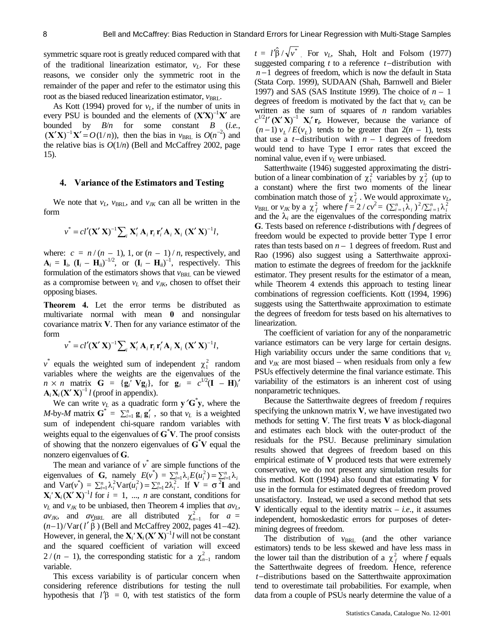symmetric square root is greatly reduced compared with that of the traditional linearization estimator,  $v<sub>L</sub>$ . For these reasons, we consider only the symmetric root in the remainder of the paper and refer to the estimator using this root as the biased reduced linearization estimator, *v*<sub>BRL</sub>.

As Kott (1994) proved for  $v<sub>L</sub>$ , if the number of units in every PSU is bounded and the elements of  $(X'X)^{-1}X'$  are bounded by *B*/*n* for some constant *B* (*i.e.*,  $(X'X)^{-1}X' = O(1/n)$ , then the bias in  $v_{BRL}$  is  $O(n^{-2})$  and the relative bias is  $O(1/n)$  (Bell and McCaffrey 2002, page 15).

#### **4. Variance of the Estimators and Testing**

We note that  $v_L$ ,  $v_{BRL}$ , and  $v_{JK}$  can all be written in the form

$$
v^* = cl'(\mathbf{X}'\mathbf{X})^{-1} \sum_i \mathbf{X}'_i \mathbf{A}_i \mathbf{r}_i \mathbf{r}'_i \mathbf{A}_i \mathbf{X}_i (\mathbf{X}'\mathbf{X})^{-1} l,
$$

where:  $c = n/(n-1)$ , 1, or  $(n-1)/n$ , respectively, and  $\mathbf{A}_i = \mathbf{I}_i$ ,  $(\mathbf{I}_i - \mathbf{H}_{ii})^{-1/2}$ , or  $(\mathbf{I}_i - \mathbf{H}_{ii})^{-1}$ , respectively. This formulation of the estimators shows that  $v_{BRL}$  can be viewed as a compromise between  $v_L$  and  $v_{JK}$ , chosen to offset their opposing biases.

**Theorem 4.** Let the error terms be distributed as multivariate normal with mean **0** and nonsingular covariance matrix **V**. Then for any variance estimator of the form

$$
v^* = cl'(\mathbf{X}'\mathbf{X})^{-1} \sum_i \mathbf{X}'_i \mathbf{A}_i \mathbf{r}_i \mathbf{r}'_i \mathbf{A}_i \mathbf{X}_i (\mathbf{X}'\mathbf{X})^{-1} l,
$$

 $v^*$  equals the weighted sum of independent  $\chi_1^2$  random variables where the weights are the eigenvalues of the  $n \times n$  matrix  $G = {\bf{g}}_i^{\prime} {\bf{V}} {\bf{g}}_j$ , for  ${\bf{g}}_i^{\prime} = c^{1/2} ({\bf{I}} - {\bf{H}})_i^{\prime}$  $\mathbf{A}_i \mathbf{X}_i (\mathbf{X}' \mathbf{X})^{-1} l$  (proof in appendix).

We can write  $v_L$  as a quadratic form  $y'G'y$ , where the *M*-by-*M* matrix  $\mathbf{G}^* = \sum_{i=1}^n \mathbf{g}_i \mathbf{g}'_i$ , so that  $v_L$  is a weighted sum of independent chi-square random variables with weights equal to the eigenvalues of **G**\* **V**. The proof consists of showing that the nonzero eigenvalues of **G**\* **V** equal the nonzero eigenvalues of **G**.

The mean and variance of  $v^*$  are simple functions of the eigenvalues of **G**, namely  $E(v^*) = \sum_{i=1}^n \lambda_i E(u_i^2) = \sum_{i=1}^n \lambda_i$ and  $\text{Var}(v^*) = \sum_{i=1}^n \lambda_i^2 \text{Var}(u_i^2) = \sum_{i=1}^n 2\lambda_i^2$ . If  $\mathbf{V} = \sigma^2 \mathbf{I}$  and  $\mathbf{X}_i' \mathbf{X}_i (\mathbf{X}' \mathbf{X})^{-1} l$  for  $i = 1, ..., n$  are constant, conditions for  $v_L$  and  $v_{JK}$  to be unbiased, then Theorem 4 implies that  $a v_L$ ,  $av_{JK}$ , and  $av_{BRL}$  are all distributed  $\chi^2_{n-1}$  for  $a =$  $(n-1)/\text{Var}(l'\hat{\beta})$  (Bell and McCaffrey 2002, pages 41–42). However, in general, the  $\mathbf{X}_i' \mathbf{X}_i (\mathbf{X}' \mathbf{X})^{-1} l$  will not be constant and the squared coefficient of variation will exceed  $2/(n-1)$ , the corresponding statistic for a  $\chi^2_{n-1}$  random variable.

This excess variability is of particular concern when considering reference distributions for testing the null hypothesis that  $l' \beta = 0$ , with test statistics of the form

 $t = l'\hat{\beta}/\sqrt{v^*}$  For  $v_L$ , Shah, Holt and Folsom (1977) suggested comparing *t* to a reference *t*−distribution with *n* −1 degrees of freedom, which is now the default in Stata (Stata Corp. 1999), SUDAAN (Shah, Barnwell and Bieler 1997) and SAS (SAS Institute 1999). The choice of *n* – 1 degrees of freedom is motivated by the fact that  $v<sub>L</sub>$  can be written as the sum of squares of *n* random variables  $c^{1/2}$ *l'* **<b>(X' X)**<sup>-1</sup> **X**<sub>*i*</sub><sup>*t*</sup>**r**<sub>*i*</sub>. However, because the variance of  $(n-1) v_t / E(v_t)$  tends to be greater than  $2(n-1)$ , tests that use a *t*−distribution with *n* – 1 degrees of freedom would tend to have Type I error rates that exceed the nominal value, even if  $v<sub>L</sub>$  were unbiased.

Satterthwaite (1946) suggested approximating the distribution of a linear combination of  $\chi_1^2$  variables by  $\chi_f^2$  (up to a constant) where the first two moments of the linear combination match those of  $\chi_f^2$ . We would approximate  $v_L$ , *v*<sub>BRL</sub> or *v<sub>JK</sub>* by a  $\chi_f^2$  where  $f = 2 / cv^2 = (\sum_{i=1}^n \lambda_i)^2 / (\sum_{i=1}^n \lambda_i^2)^2$ and the  $\lambda_i$  are the eigenvalues of the corresponding matrix **G**. Tests based on reference *t*-distributions with *f* degrees of freedom would be expected to provide better Type I error rates than tests based on  $n - 1$  degrees of freedom. Rust and Rao (1996) also suggest using a Satterthwaite approximation to estimate the degrees of freedom for the jackknife estimator. They present results for the estimator of a mean, while Theorem 4 extends this approach to testing linear combinations of regression coefficients. Kott (1994, 1996) suggests using the Satterthwaite approximation to estimate the degrees of freedom for tests based on his alternatives to linearization.

The coefficient of variation for any of the nonparametric variance estimators can be very large for certain designs. High variability occurs under the same conditions that  $v_L$ and  $v_{1K}$  are most biased – when residuals from only a few PSUs effectively determine the final variance estimate. This variability of the estimators is an inherent cost of using nonparametric techniques.

Because the Satterthwaite degrees of freedom *f* requires specifying the unknown matrix **V**, we have investigated two methods for setting **V**. The first treats **V** as block-diagonal and estimates each block with the outer-product of the residuals for the PSU. Because preliminary simulation results showed that degrees of freedom based on this empirical estimate of **V** produced tests that were extremely conservative, we do not present any simulation results for this method. Kott (1994) also found that estimating **V** for use in the formula for estimated degrees of freedom proved unsatisfactory. Instead, we used a second method that sets **V** identically equal to the identity matrix – *i.e.*, it assumes independent, homoskedastic errors for purposes of determining degrees of freedom.

The distribution of  $v_{BRL}$  (and the other variance estimators) tends to be less skewed and have less mass in the lower tail than the distribution of a  $\chi_f^2$  where *f* equals the Satterthwaite degrees of freedom. Hence, reference *t*−distributions based on the Satterthwaite approximation tend to overestimate tail probabilities. For example, when data from a couple of PSUs nearly determine the value of a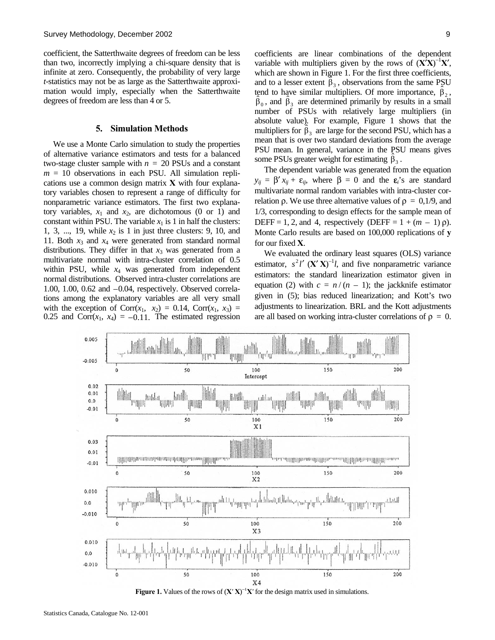coefficient, the Satterthwaite degrees of freedom can be less than two, incorrectly implying a chi-square density that is infinite at zero. Consequently, the probability of very large *t*-statistics may not be as large as the Satterthwaite approximation would imply, especially when the Satterthwaite degrees of freedom are less than 4 or 5.

#### **5. Simulation Methods**

We use a Monte Carlo simulation to study the properties of alternative variance estimators and tests for a balanced two-stage cluster sample with  $n = 20$  PSUs and a constant  $m = 10$  observations in each PSU. All simulation replications use a common design matrix **X** with four explanatory variables chosen to represent a range of difficulty for nonparametric variance estimators. The first two explanatory variables,  $x_1$  and  $x_2$ , are dichotomous (0 or 1) and constant within PSU. The variable  $x_1$  is 1 in half the clusters: 1, 3, ..., 19, while  $x_2$  is 1 in just three clusters: 9, 10, and 11. Both  $x_3$  and  $x_4$  were generated from standard normal distributions. They differ in that  $x_3$  was generated from a multivariate normal with intra-cluster correlation of 0.5 within PSU, while  $x_4$  was generated from independent normal distributions. Observed intra-cluster correlations are 1.00, 1.00, 0.62 and –0.04, respectively. Observed correlations among the explanatory variables are all very small with the exception of  $Corr(x_1, x_2) = 0.14$ ,  $Corr(x_1, x_3) =$ 0.25 and  $Corr(x_1, x_4) = -0.11$ . The estimated regression coefficients are linear combinations of the dependent variable with multipliers given by the rows of  $(\mathbf{X}^T \mathbf{X})^{-1} \mathbf{X}'$ , which are shown in Figure 1. For the first three coefficients, and to a lesser extent  $\hat{\beta}_3$ , observations from the same PSU tend to have similar multipliers. Of more importance,  $\hat{\beta}_2$ ,  $\hat{\beta}_0$ , and  $\hat{\beta}_3$  are determined primarily by results in a small number of PSUs with relatively large multipliers (in absolute value). For example, Figure 1 shows that the multipliers for  $\hat{\beta}_3$  are large for the second PSU, which has a mean that is over two standard deviations from the average PSU mean. In general, variance in the PSU means gives some PSUs greater weight for estimating  $\hat{\beta}_3$ .

The dependent variable was generated from the equation  $y_{ii} = \beta' x_{ii} + \varepsilon_{ii}$ , where  $\beta = 0$  and the  $\varepsilon_i$ 's are standard multivariate normal random variables with intra-cluster correlation ρ. We use three alternative values of  $ρ = 0.1/9$ , and 1/3, corresponding to design effects for the sample mean of DEFF = 1, 2, and 4, respectively (DEFF =  $1 + (m - 1)$   $\rho$ ). Monte Carlo results are based on 100,000 replications of **y** for our fixed **X**.

We evaluated the ordinary least squares (OLS) variance estimator,  $s^2 l'$  (**X′ X**)<sup>-1</sup>*l*, and five nonparametric variance estimators: the standard linearization estimator given in equation (2) with  $c = n/(n - 1)$ ; the jackknife estimator given in (5); bias reduced linearization; and Kott's two adjustments to linearization. BRL and the Kott adjustments are all based on working intra-cluster correlations of  $\rho = 0$ .



**Figure 1.** Values of the rows of  $(X'X)^{-1}X'$  for the design matrix used in simulations.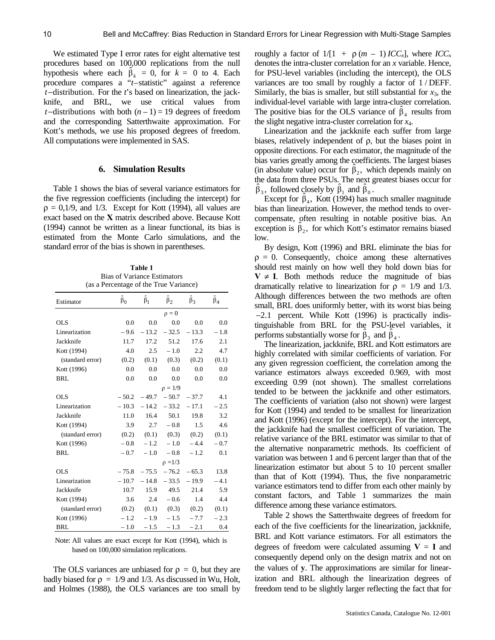We estimated Type I error rates for eight alternative test procedures based on 100,000 replications from the null hypothesis where each  $\hat{\beta}_k = 0$ , for  $k = 0$  to 4. Each procedure compares a "*t*–statistic" against a reference *t*−distribution. For the *t*'s based on linearization, the jackknife, and BRL, we use critical values from *t*−distributions with both  $(n-1) = 19$  degrees of freedom and the corresponding Satterthwaite approximation. For Kott's methods, we use his proposed degrees of freedom. All computations were implemented in SAS.

#### **6. Simulation Results**

Table 1 shows the bias of several variance estimators for the five regression coefficients (including the intercept) for  $\rho = 0.1/9$ , and 1/3. Except for Kott (1994), all values are exact based on the **X** matrix described above. Because Kott (1994) cannot be written as a linear functional, its bias is estimated from the Monte Carlo simulations, and the standard error of the bias is shown in parentheses.

**Table 1**  Bias of Variance Estimators (as a Percentage of the True Variance)

| Estimator        | $\hat{\beta}_0$ | $\hat{\beta}_1$ | $\hat{\beta}_2$<br>$\hat{\beta}_3$ |         | $\hat{\beta}_4$ |  |  |  |
|------------------|-----------------|-----------------|------------------------------------|---------|-----------------|--|--|--|
|                  |                 |                 | $\rho = 0$                         |         |                 |  |  |  |
| OLS              | 0.0             | 0.0             | 0.0                                | 0.0     | 0.0             |  |  |  |
| Linearization    | $-9.6$          | $-13.2$         | $-32.5$                            | $-13.3$ | $-1.8$          |  |  |  |
| Jackknife        | 11.7            | 17.2            | 51.2                               | 17.6    | 2.1             |  |  |  |
| Kott (1994)      | 4.0             | 2.5             | $-1.0$                             | 2.2     | 4.7             |  |  |  |
| (standard error) | (0.2)           | (0.1)           | (0.3)                              | (0.2)   | (0.1)           |  |  |  |
| Kott (1996)      | 0.0             | 0.0             | 0.0                                | 0.0     | 0.0             |  |  |  |
| <b>BRL</b>       | 0.0             | 0.0             | 0.0                                | 0.0     | 0.0             |  |  |  |
|                  |                 |                 | $\rho = 1/9$                       |         |                 |  |  |  |
| <b>OLS</b>       | $-50.2$         | $-49.7$         | $-50.7$                            | $-37.7$ | 4.1             |  |  |  |
| Linearization    | $-10.3$         | $-14.2$         | $-33.2$                            | $-17.1$ | $-2.5$          |  |  |  |
| Jackknife        | 11.0            | 16.4            | 50.1                               | 19.8    | 3.2             |  |  |  |
| Kott (1994)      | 3.9             | 2.7             | $-0.8$                             | 1.5     | 4.6             |  |  |  |
| (standard error) | (0.2)           |                 | $(0.1)$ $(0.3)$                    | (0.2)   | (0.1)           |  |  |  |
| Kott (1996)      | $-0.8$          | $-1.2$          | $-1.0$                             | $-4.4$  | $-0.7$          |  |  |  |
| <b>BRL</b>       | $-0.7$          | $-1.0$          | $-0.8$                             | $-1.2$  | 0.1             |  |  |  |
|                  |                 |                 | $\rho = 1/3$                       |         |                 |  |  |  |
| <b>OLS</b>       | $-75.8$         | $-75.5$         | $-76.2$                            | $-65.3$ | 13.8            |  |  |  |
| Linearization    | $-10.7$         | $-14.8$         | $-33.5$                            | $-19.9$ | $-4.1$          |  |  |  |
| Jackknife        | 10.7            | 15.9            | 49.5                               | 21.4    | 5.9             |  |  |  |
| Kott (1994)      | 3.6             | 2.4             | $-0.6$                             | 1.4     | 4.4             |  |  |  |
| (standard error) | (0.2)           | (0.1)           | (0.3)                              | (0.2)   | (0.1)           |  |  |  |
| Kott (1996)      | $-1.2$          | $-1.9$          | $-1.5$                             | $-7.7$  | $-2.3$          |  |  |  |
| <b>BRL</b>       | $-1.0$          | $-1.5$          | $-1.3$                             | $-2.1$  | 0.4             |  |  |  |

Note: All values are exact except for Kott (1994), which is based on 100,000 simulation replications.

The OLS variances are unbiased for  $\rho = 0$ , but they are badly biased for  $\rho = 1/9$  and 1/3. As discussed in Wu, Holt, and Holmes (1988), the OLS variances are too small by roughly a factor of  $1/[1 + \rho(m - 1)ICC_x]$ , where  $ICC_x$ denotes the intra-cluster correlation for an *x* variable. Hence, for PSU-level variables (including the intercept), the OLS variances are too small by roughly a factor of 1 / DEFF. Similarly, the bias is smaller, but still substantial for  $x_3$ , the individual-level variable with large intra-cluster correlation. The positive bias for the OLS variance of  $\hat{\beta}_4$  results from the slight negative intra-cluster correlation for *x*4.

Linearization and the jackknife each suffer from large biases, relatively independent of ρ, but the biases point in opposite directions. For each estimator, the magnitude of the bias varies greatly among the coefficients. The largest biases (in absolute value) occur for  $\hat{\beta}_2$ , which depends mainly on the data from three PSUs. The next greatest biases occur for  $\hat{\beta}_3$ , followed closely by  $\hat{\beta}_1$  and  $\hat{\beta}_0$ .

Except for  $\hat{\beta}_4$ , Kott (1994) has much smaller magnitude bias than linearization. However, the method tends to overcompensate, often resulting in notable positive bias. An exception is  $\hat{\beta}_2$ , for which Kott's estimator remains biased low.

By design, Kott (1996) and BRL eliminate the bias for  $\rho = 0$ . Consequently, choice among these alternatives should rest mainly on how well they hold down bias for  $V \neq I$ . Both methods reduce the magnitude of bias dramatically relative to linearization for  $\rho = 1/9$  and 1/3. Although differences between the two methods are often small, BRL does uniformly better, with its worst bias being −2.1 percent. While Kott (1996) is practically indistinguishable from BRL for the PSU-level variables, it performs substantially worse for  $\hat{\beta}_3$  and  $\hat{\beta}_4$ .

The linearization, jackknife, BRL and Kott estimators are highly correlated with similar coefficients of variation. For any given regression coefficient, the correlation among the variance estimators always exceeded 0.969, with most exceeding 0.99 (not shown). The smallest correlations tended to be between the jackknife and other estimators. The coefficients of variation (also not shown) were largest for Kott (1994) and tended to be smallest for linearization and Kott (1996) (except for the intercept). For the intercept, the jackknife had the smallest coefficient of variation. The relative variance of the BRL estimator was similar to that of the alternative nonparametric methods. Its coefficient of variation was between 1 and 6 percent larger than that of the linearization estimator but about 5 to 10 percent smaller than that of Kott (1994). Thus, the five nonparametric variance estimators tend to differ from each other mainly by constant factors, and Table 1 summarizes the main difference among these variance estimators.

Table 2 shows the Satterthwaite degrees of freedom for each of the five coefficients for the linearization, jackknife, BRL and Kott variance estimators. For all estimators the degrees of freedom were calculated assuming  $V = I$  and consequently depend only on the design matrix and not on the values of **y**. The approximations are similar for linearization and BRL although the linearization degrees of freedom tend to be slightly larger reflecting the fact that for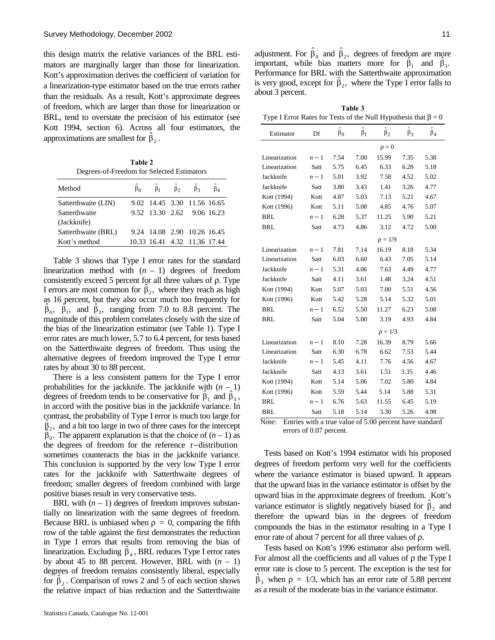this design matrix the relative variances of the BRL estimators are marginally larger than those for linearization. Kott's approximation derives the coefficient of variation for a linearization-type estimator based on the true errors rather than the residuals. As a result, Kott's approximate degrees of freedom, which are larger than those for linearization or BRL, tend to overstate the precision of his estimator (see Kott 1994, section 6). Across all four estimators, the approximations are smallest for  $\hat{\beta}_2$ .

**Table 2**  Degrees-of-Freedom for Selected Estimators

| Method              |                              | $\hat{\beta}_1$ $\hat{\beta}_2$ $\hat{\beta}_3$ |  |
|---------------------|------------------------------|-------------------------------------------------|--|
| Satterthwaite (LIN) | 9.02 14.45 3.30 11.56 16.65  |                                                 |  |
| Satterthwaite       | 9.52 13.30 2.62 9.06 16.23   |                                                 |  |
| (Jackknife)         |                              |                                                 |  |
| Satterthwaite (BRL) | 9.24 14.08 2.90 10.26 16.45  |                                                 |  |
| Kott's method       | 10.33 16.41 4.32 11.36 17.44 |                                                 |  |
|                     |                              |                                                 |  |

Table 3 shows that Type I error rates for the standard linearization method with  $(n - 1)$  degrees of freedom consistently exceed 5 percent for all three values of ρ. Type I errors are most common for  $\hat{\beta}_2$ , where they reach as high as 16 percent, but they also occur much too frequently for  $\hat{\beta}_0$ ,  $\hat{\beta}_1$ , and  $\hat{\beta}_3$ , ranging from 7.0 to 8.8 percent. The magnitude of this problem correlates closely with the size of the bias of the linearization estimator (see Table 1). Type I error rates are much lower, 5.7 to 6.4 percent, for tests based on the Satterthwaite degrees of freedom. Thus using the alternative degrees of freedom improved the Type I error rates by about 30 to 88 percent.

There is a less consistent pattern for the Type I error probabilities for the jackknife. The jackknife with  $(n - 1)$ degrees of freedom tends to be conservative for  $\hat{\beta}_1$  and  $\hat{\beta}_3$ , in accord with the positive bias in the jackknife variance. In contrast, the probability of Type I error is much too large for  $\hat{\beta}_2$ , and a bit too large in two of three cases for the intercept  $\hat{\beta}_0^2$ . The apparent explanation is that the choice of  $(n-1)$  as the degrees of freedom for the reference *t*−distribution sometimes counteracts the bias in the jackknife variance. This conclusion is supported by the very low Type I error rates for the jackknife with Satterthwaite degrees of freedom; smaller degrees of freedom combined with large positive biases result in very conservative tests.

BRL with  $(n - 1)$  degrees of freedom improves substantially on linearization with the same degrees of freedom. Because BRL is unbiased when  $\rho = 0$ , comparing the fifth row of the table against the first demonstrates the reduction in Type I errors that results from removing the bias of linearization. Excluding  $\hat{\beta}_4$ , BRL reduces Type I error rates by about 45 to 88 percent. However, BRL with  $(n - 1)$ degrees of freedom remains consistently liberal, especially for  $\hat{\beta}_2$ . Comparison of rows 2 and 5 of each section shows the relative impact of bias reduction and the Satterthwaite

adjustment. For  $\hat{\beta}_0$  and  $\hat{\beta}_2$ , degrees of freedom are more important, while bias matters more for  $\hat{\beta}_1$  and  $\hat{\beta}_3$ . Performance for BRL with the Satterthwaite approximation is very good, except for  $\hat{\beta}_2$ , where the Type I error falls to about 3 percent.

| Table 3                                                              |
|----------------------------------------------------------------------|
| Type I Error Rates for Tests of the Null Hypothesis that $\beta = 0$ |

| Estimator     | Df    | $\hat{\beta}_0$ | $\hat{\beta}_1$ | $\hat{\beta}_2$ | $\hat{\beta}_3$ | $\hat{\beta}_4$ |  |  |  |
|---------------|-------|-----------------|-----------------|-----------------|-----------------|-----------------|--|--|--|
|               |       | $\rho = 0$      |                 |                 |                 |                 |  |  |  |
| Linearization | $n-1$ | 7.54            | 7.00            | 15.99           | 7.35            | 5.38            |  |  |  |
| Linearization | Satt  | 5.75            | 6.45            | 6.33            | 6.28            | 5.18            |  |  |  |
| Jackknife     | $n-1$ | 5.01            | 3.92            | 7.58            | 4.52            | 5.02            |  |  |  |
| Jackknife     | Satt  | 3.80            | 3.43            | 1.41            | 3.26            | 4.77            |  |  |  |
| Kott (1994)   | Kott  | 4.87            | 5.03            | 7.13            | 5.21            | 4.67            |  |  |  |
| Kott (1996)   | Kott  | 5.11            | 5.08            | 4.85            | 4.76            | 5.07            |  |  |  |
| <b>BRL</b>    | $n-1$ | 6.28            | 5.37            | 11.25           | 5.90            | 5.21            |  |  |  |
| <b>BRL</b>    | Satt  | 4.73            | 4.86            | 3.12            | 4.72            | 5.00            |  |  |  |
|               |       |                 |                 | $\rho = 1/9$    |                 |                 |  |  |  |
| Linearization | $n-1$ | 7.81            | 7.14            | 16.19           | 8.18            | 5.34            |  |  |  |
| Linearization | Satt  | 6.03            | 6.60            | 6.43            | 7.05            | 5.14            |  |  |  |
| Jackknife     | $n-1$ | 5.31            | 4.06            | 7.63            | 4.49            | 4.77            |  |  |  |
| Jackknife     | Satt  | 4.11            | 3.61            | 1.48            | 3.24            | 4.51            |  |  |  |
| Kott (1994)   | Kott  | 5.07            | 5.03            | 7.00            | 5.51            | 4.56            |  |  |  |
| Kott (1996)   | Kott  | 5.42            | 5.28            | 5.14            | 5.32            | 5.01            |  |  |  |
| <b>BRL</b>    | $n-1$ | 6.52            | 5.50            | 11.27           | 6.23            | 5.08            |  |  |  |
| BRL           | Satt  | 5.04            | 5.00            | 3.19            | 4.93            | 4.84            |  |  |  |
|               |       |                 | $\rho = 1/3$    |                 |                 |                 |  |  |  |
| Linearization | $n-1$ | 8.10            | 7.28            | 16.39           | 8.79            | 5.66            |  |  |  |
| Linearization | Satt  | 6.30            | 6.78            | 6.62            | 7.53            | 5.44            |  |  |  |
| Jackknife     | $n-1$ | 5.45            | 4.11            | 7.76            | 4.56            | 4.67            |  |  |  |
| Jackknife     | Satt  | 4.13            | 3.61            | 1.51            | 3.35            | 4.46            |  |  |  |
| Kott (1994)   | Kott  | 5.14            | 5.06            | 7.02            | 5.80            | 4.84            |  |  |  |
| Kott (1996)   | Kott  | 5.59            | 5.44            | 5.14            | 5.88            | 5.31            |  |  |  |
| BRL           | $n-1$ | 6.76            | 5.63            | 11.55           | 6.45            | 5.19            |  |  |  |
| <b>BRL</b>    | Satt  | 5.18            | 5.14            | 3.30            | 5.26            | 4.98            |  |  |  |

Note: Entries with a true value of 5.00 percent have standard errors of 0.07 percent.

Tests based on Kott's 1994 estimator with his proposed degrees of freedom perform very well for the coefficients where the variance estimator is biased upward. It appears that the upward bias in the variance estimator is offset by the upward bias in the approximate degrees of freedom. Kott's variance estimator is slightly negatively biased for  $\hat{\beta}_2$  and therefore the upward bias in the degrees of freedom compounds the bias in the estimator resulting in a Type I error rate of about 7 percent for all three values of ρ.

Tests based on Kott's 1996 estimator also perform well. For almost all the coefficients and all values of ρ the Type I error rate is close to 5 percent. The exception is the test for  $\hat{\beta}_3$  when  $\rho = 1/3$ , which has an error rate of 5.88 percent as a result of the moderate bias in the variance estimator.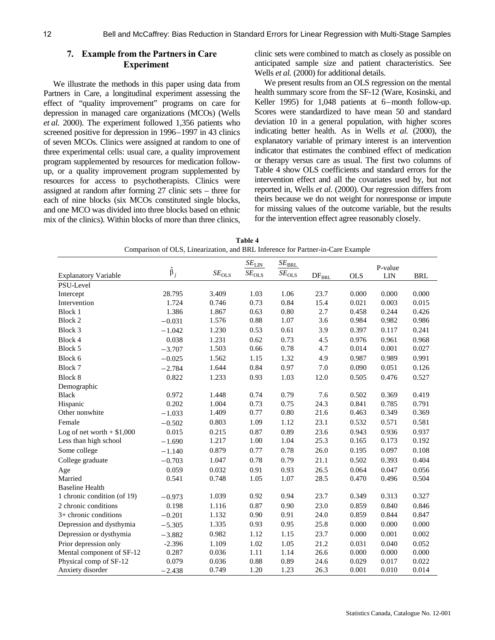#### **7. Example from the Partners in Care Experiment**

We illustrate the methods in this paper using data from Partners in Care, a longitudinal experiment assessing the effect of "quality improvement" programs on care for depression in managed care organizations (MCOs) (Wells *et al.* 2000). The experiment followed 1,356 patients who screened positive for depression in 1996–1997 in 43 clinics of seven MCOs. Clinics were assigned at random to one of three experimental cells: usual care, a quality improvement program supplemented by resources for medication followup, or a quality improvement program supplemented by resources for access to psychotherapists. Clinics were assigned at random after forming 27 clinic sets – three for each of nine blocks (six MCOs constituted single blocks, and one MCO was divided into three blocks based on ethnic mix of the clinics). Within blocks of more than three clinics, clinic sets were combined to match as closely as possible on anticipated sample size and patient characteristics. See Wells *et al.* (2000) for additional details.

We present results from an OLS regression on the mental health summary score from the SF-12 (Ware, Kosinski, and Keller 1995) for 1,048 patients at 6–month follow-up. Scores were standardized to have mean 50 and standard deviation 10 in a general population, with higher scores indicating better health. As in Wells *et al.* (2000), the explanatory variable of primary interest is an intervention indicator that estimates the combined effect of medication or therapy versus care as usual. The first two columns of Table 4 show OLS coefficients and standard errors for the intervention effect and all the covariates used by, but not reported in, Wells *et al.* (2000). Our regression differs from theirs because we do not weight for nonresponse or impute for missing values of the outcome variable, but the results for the intervention effect agree reasonably closely.

| Table 4                                                                         |
|---------------------------------------------------------------------------------|
| Comparison of OLS, Linearization, and BRL Inference for Partner-in-Care Example |

|                              |                 |                | $SE_{\underline{\text{LIN}}}$ | $SE_{\underline{\mathrm{BRL}}}$ |                |            | P-value    |            |
|------------------------------|-----------------|----------------|-------------------------------|---------------------------------|----------------|------------|------------|------------|
| <b>Explanatory Variable</b>  | $\hat{\beta}_j$ | $SE_{\rm OLS}$ | $SE_{\rm OLS}$                | $SE_{OLS}$                      | $\rm DF_{BRL}$ | <b>OLS</b> | <b>LIN</b> | <b>BRL</b> |
| PSU-Level                    |                 |                |                               |                                 |                |            |            |            |
| Intercept                    | 28.795          | 3.409          | 1.03                          | 1.06                            | 23.7           | 0.000      | 0.000      | 0.000      |
| Intervention                 | 1.724           | 0.746          | 0.73                          | 0.84                            | 15.4           | 0.021      | 0.003      | 0.015      |
| Block 1                      | 1.386           | 1.867          | 0.63                          | 0.80                            | 2.7            | 0.458      | 0.244      | 0.426      |
| Block 2                      | $-0.031$        | 1.576          | 0.88                          | 1.07                            | 3.6            | 0.984      | 0.982      | 0.986      |
| Block 3                      | $-1.042$        | 1.230          | 0.53                          | 0.61                            | 3.9            | 0.397      | 0.117      | 0.241      |
| Block 4                      | 0.038           | 1.231          | 0.62                          | 0.73                            | 4.5            | 0.976      | 0.961      | 0.968      |
| Block 5                      | $-3.707$        | 1.503          | 0.66                          | 0.78                            | 4.7            | 0.014      | 0.001      | 0.027      |
| Block 6                      | $-0.025$        | 1.562          | 1.15                          | 1.32                            | 4.9            | 0.987      | 0.989      | 0.991      |
| Block 7                      | $-2.784$        | 1.644          | 0.84                          | 0.97                            | 7.0            | 0.090      | 0.051      | 0.126      |
| Block 8                      | 0.822           | 1.233          | 0.93                          | 1.03                            | 12.0           | 0.505      | 0.476      | 0.527      |
| Demographic                  |                 |                |                               |                                 |                |            |            |            |
| <b>Black</b>                 | 0.972           | 1.448          | 0.74                          | 0.79                            | 7.6            | 0.502      | 0.369      | 0.419      |
| Hispanic                     | 0.202           | 1.004          | 0.73                          | 0.75                            | 24.3           | 0.841      | 0.785      | 0.791      |
| Other nonwhite               | $-1.033$        | 1.409          | 0.77                          | 0.80                            | 21.6           | 0.463      | 0.349      | 0.369      |
| Female                       | $-0.502$        | 0.803          | 1.09                          | 1.12                            | 23.1           | 0.532      | 0.571      | 0.581      |
| Log of net worth $+$ \$1,000 | 0.015           | 0.215          | 0.87                          | 0.89                            | 23.6           | 0.943      | 0.936      | 0.937      |
| Less than high school        | $-1.690$        | 1.217          | 1.00                          | 1.04                            | 25.3           | 0.165      | 0.173      | 0.192      |
| Some college                 | $-1.140$        | 0.879          | 0.77                          | 0.78                            | 26.0           | 0.195      | 0.097      | 0.108      |
| College graduate             | $-0.703$        | 1.047          | 0.78                          | 0.79                            | 21.1           | 0.502      | 0.393      | 0.404      |
| Age                          | 0.059           | 0.032          | 0.91                          | 0.93                            | 26.5           | 0.064      | 0.047      | 0.056      |
| Married                      | 0.541           | 0.748          | 1.05                          | 1.07                            | 28.5           | 0.470      | 0.496      | 0.504      |
| <b>Baseline Health</b>       |                 |                |                               |                                 |                |            |            |            |
| 1 chronic condition (of 19)  | $-0.973$        | 1.039          | 0.92                          | 0.94                            | 23.7           | 0.349      | 0.313      | 0.327      |
| 2 chronic conditions         | 0.198           | 1.116          | 0.87                          | 0.90                            | 23.0           | 0.859      | 0.840      | 0.846      |
| 3+ chronic conditions        | $-0.201$        | 1.132          | 0.90                          | 0.91                            | 24.0           | 0.859      | 0.844      | 0.847      |
| Depression and dysthymia     | $-5.305$        | 1.335          | 0.93                          | 0.95                            | 25.8           | 0.000      | 0.000      | 0.000      |
| Depression or dysthymia      | $-3.882$        | 0.982          | 1.12                          | 1.15                            | 23.7           | 0.000      | 0.001      | 0.002      |
| Prior depression only        | $-2.396$        | 1.109          | 1.02                          | 1.05                            | 21.2           | 0.031      | 0.040      | 0.052      |
| Mental component of SF-12    | 0.287           | 0.036          | 1.11                          | 1.14                            | 26.6           | 0.000      | 0.000      | 0.000      |
| Physical comp of SF-12       | 0.079           | 0.036          | 0.88                          | 0.89                            | 24.6           | 0.029      | 0.017      | 0.022      |
| Anxiety disorder             | $-2.438$        | 0.749          | 1.20                          | 1.23                            | 26.3           | 0.001      | 0.010      | 0.014      |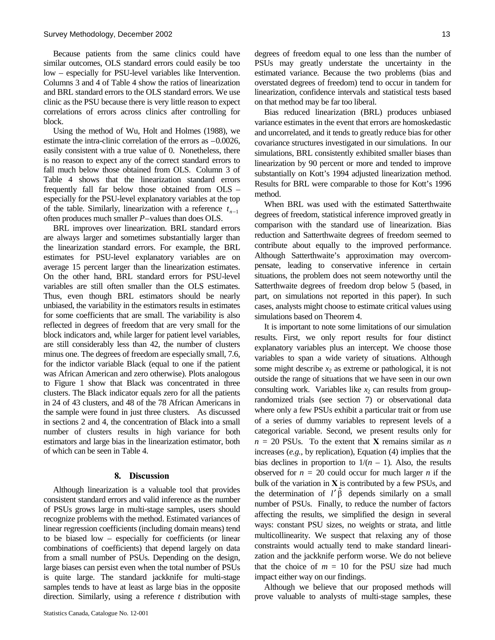Because patients from the same clinics could have similar outcomes, OLS standard errors could easily be too low – especially for PSU-level variables like Intervention. Columns 3 and 4 of Table 4 show the ratios of linearization and BRL standard errors to the OLS standard errors. We use clinic as the PSU because there is very little reason to expect correlations of errors across clinics after controlling for block.

Using the method of Wu, Holt and Holmes (1988), we estimate the intra-clinic correlation of the errors as –0.0026, easily consistent with a true value of 0. Nonetheless, there is no reason to expect any of the correct standard errors to fall much below those obtained from OLS. Column 3 of Table 4 shows that the linearization standard errors frequently fall far below those obtained from OLS – especially for the PSU-level explanatory variables at the top of the table. Similarly, linearization with a reference *n*−<sup>1</sup> *t* often produces much smaller *P*–values than does OLS.

BRL improves over linearization. BRL standard errors are always larger and sometimes substantially larger than the linearization standard errors. For example, the BRL estimates for PSU-level explanatory variables are on average 15 percent larger than the linearization estimates. On the other hand, BRL standard errors for PSU-level variables are still often smaller than the OLS estimates. Thus, even though BRL estimators should be nearly unbiased, the variability in the estimators results in estimates for some coefficients that are small. The variability is also reflected in degrees of freedom that are very small for the block indicators and, while larger for patient level variables, are still considerably less than 42, the number of clusters minus one. The degrees of freedom are especially small, 7.6, for the indictor variable Black (equal to one if the patient was African American and zero otherwise). Plots analogous to Figure 1 show that Black was concentrated in three clusters. The Black indicator equals zero for all the patients in 24 of 43 clusters, and 48 of the 78 African Americans in the sample were found in just three clusters. As discussed in sections 2 and 4, the concentration of Black into a small number of clusters results in high variance for both estimators and large bias in the linearization estimator, both of which can be seen in Table 4.

#### **8. Discussion**

Although linearization is a valuable tool that provides consistent standard errors and valid inference as the number of PSUs grows large in multi-stage samples, users should recognize problems with the method. Estimated variances of linear regression coefficients (including domain means) tend to be biased low – especially for coefficients (or linear combinations of coefficients) that depend largely on data from a small number of PSUs. Depending on the design, large biases can persist even when the total number of PSUs is quite large. The standard jackknife for multi-stage samples tends to have at least as large bias in the opposite direction. Similarly, using a reference *t* distribution with degrees of freedom equal to one less than the number of PSUs may greatly understate the uncertainty in the estimated variance. Because the two problems (bias and overstated degrees of freedom) tend to occur in tandem for linearization, confidence intervals and statistical tests based on that method may be far too liberal.

Bias reduced linearization (BRL) produces unbiased variance estimates in the event that errors are homoskedastic and uncorrelated, and it tends to greatly reduce bias for other covariance structures investigated in our simulations. In our simulations, BRL consistently exhibited smaller biases than linearization by 90 percent or more and tended to improve substantially on Kott's 1994 adjusted linearization method. Results for BRL were comparable to those for Kott's 1996 method.

When BRL was used with the estimated Satterthwaite degrees of freedom, statistical inference improved greatly in comparison with the standard use of linearization. Bias reduction and Satterthwaite degrees of freedom seemed to contribute about equally to the improved performance. Although Satterthwaite's approximation may overcompensate, leading to conservative inference in certain situations, the problem does not seem noteworthy until the Satterthwaite degrees of freedom drop below 5 (based, in part, on simulations not reported in this paper). In such cases, analysts might choose to estimate critical values using simulations based on Theorem 4.

It is important to note some limitations of our simulation results. First, we only report results for four distinct explanatory variables plus an intercept. We choose those variables to span a wide variety of situations. Although some might describe  $x_2$  as extreme or pathological, it is not outside the range of situations that we have seen in our own consulting work. Variables like  $x_2$  can results from grouprandomized trials (see section 7) or observational data where only a few PSUs exhibit a particular trait or from use of a series of dummy variables to represent levels of a categorical variable. Second, we present results only for  $n = 20$  PSUs. To the extent that **X** remains similar as *n* increases (*e.g.*, by replication), Equation (4) implies that the bias declines in proportion to  $1/(n - 1)$ . Also, the results observed for  $n = 20$  could occur for much larger *n* if the bulk of the variation in **X** is contributed by a few PSUs, and the determination of  $l' \hat{\beta}$  depends similarly on a small number of PSUs. Finally, to reduce the number of factors affecting the results, we simplified the design in several ways: constant PSU sizes, no weights or strata, and little multicollinearity. We suspect that relaxing any of those constraints would actually tend to make standard linearization and the jackknife perform worse. We do not believe that the choice of  $m = 10$  for the PSU size had much impact either way on our findings.

Although we believe that our proposed methods will prove valuable to analysts of multi-stage samples, these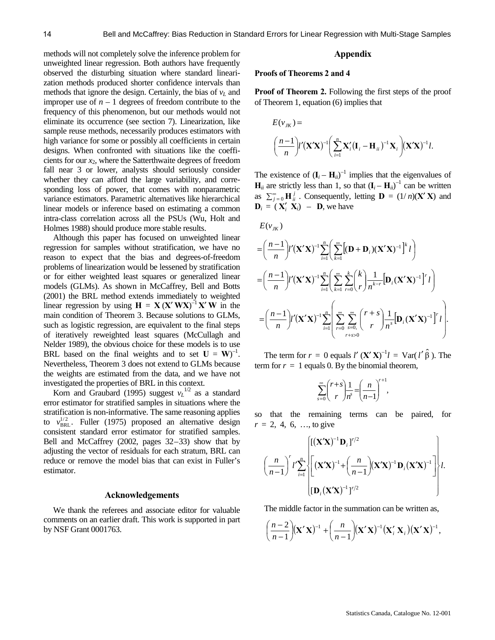methods will not completely solve the inference problem for unweighted linear regression. Both authors have frequently observed the disturbing situation where standard linearization methods produced shorter confidence intervals than methods that ignore the design. Certainly, the bias of  $v<sub>L</sub>$  and improper use of  $n-1$  degrees of freedom contribute to the frequency of this phenomenon, but our methods would not eliminate its occurrence (see section 7). Linearization, like sample reuse methods, necessarily produces estimators with high variance for some or possibly all coefficients in certain designs. When confronted with situations like the coefficients for our *x*2, where the Satterthwaite degrees of freedom fall near 3 or lower, analysts should seriously consider whether they can afford the large variability, and corresponding loss of power, that comes with nonparametric variance estimators. Parametric alternatives like hierarchical linear models or inference based on estimating a common intra-class correlation across all the PSUs (Wu, Holt and Holmes 1988) should produce more stable results.

Although this paper has focused on unweighted linear regression for samples without stratification, we have no reason to expect that the bias and degrees-of-freedom problems of linearization would be lessened by stratification or for either weighted least squares or generalized linear models (GLMs). As shown in McCaffrey, Bell and Botts (2001) the BRL method extends immediately to weighted linear regression by using  $H = X(X'WX)^{-1}X'W$  in the main condition of Theorem 3. Because solutions to GLMs, such as logistic regression, are equivalent to the final steps of iteratively reweighted least squares (McCullagh and Nelder 1989), the obvious choice for these models is to use BRL based on the final weights and to set  $U = W^{-1}$ . Nevertheless, Theorem 3 does not extend to GLMs because the weights are estimated from the data, and we have not investigated the properties of BRL in this context.

Korn and Graubard (1995) suggest  $v_L^{1/2}$  as a standard error estimator for stratified samples in situations where the stratification is non-informative. The same reasoning applies to  $v_{BRL}^{1/2}$ . Fuller (1975) proposed an alternative design consistent standard error estimator for stratified samples. Bell and McCaffrey (2002, pages 32–33) show that by adjusting the vector of residuals for each stratum, BRL can reduce or remove the model bias that can exist in Fuller's estimator.

#### **Acknowledgements**

We thank the referees and associate editor for valuable comments on an earlier draft. This work is supported in part by NSF Grant 0001763.

#### **Appendix**

#### **Proofs of Theorems 2 and 4**

**Proof of Theorem 2.** Following the first steps of the proof of Theorem 1, equation (6) implies that

$$
E(v_{JK}) =
$$

$$
\left(\frac{n-1}{n}\right)l'\left(\mathbf{X}'\mathbf{X}\right)^{-1}\left(\sum_{i=1}^{n}\mathbf{X}'_i\left(\mathbf{I}_i-\mathbf{H}_{ii}\right)^{-1}\mathbf{X}_i\right)(\mathbf{X}'\mathbf{X})^{-1}l.
$$

The existence of  $(I_i - H_{ii})^{-1}$  implies that the eigenvalues of  $\mathbf{H}_{ii}$  are strictly less than 1, so that  $(\mathbf{I}_i - \mathbf{H}_{ii})^{-1}$  can be written as  $\sum_{j=0}^{\infty} \mathbf{H}_{ii}^j$ . Consequently, letting  $\mathbf{D} = (1/n)(\mathbf{X}'\mathbf{X})$  and  $\mathbf{D}_i = (\mathbf{X}'_i \ \mathbf{X}_i) - \mathbf{D}$ , we have

$$
E(v_{JK})
$$
\n
$$
= \left(\frac{n-1}{n}\right) l'(\mathbf{X}'\mathbf{X})^{-1} \sum_{i=1}^{n} \left(\sum_{k=1}^{\infty} \left[(\mathbf{D} + \mathbf{D}_i)(\mathbf{X}'\mathbf{X})^{-1}\right]^{k} l\right)
$$
\n
$$
= \left(\frac{n-1}{n}\right) l'(\mathbf{X}'\mathbf{X})^{-1} \sum_{i=1}^{n} \left(\sum_{k=1}^{\infty} \sum_{r=0}^{k} {k \choose r} \frac{1}{n^{k-r}} \left[\mathbf{D}_i(\mathbf{X}'\mathbf{X})^{-1}\right]^{r} l\right)
$$
\n
$$
= \left(\frac{n-1}{n}\right) l'(\mathbf{X}'\mathbf{X})^{-1} \sum_{i=1}^{n} \left(\sum_{r=0}^{\infty} \sum_{s=0}^{\infty} {r+s \choose r} \frac{1}{n^{s}} \left[\mathbf{D}_i(\mathbf{X}'\mathbf{X})^{-1}\right]^{r} l\right).
$$

The term for  $r = 0$  equals  $l' (\mathbf{X}' \mathbf{X})^{-1} l = \text{Var}(l' \hat{\beta})$ . The term for  $r = 1$  equals 0. By the binomial theorem,

$$
\sum_{s=0}^{\infty} {r+s \choose r} \frac{1}{n^s} = \left(\frac{n}{n-1}\right)^{r+1},
$$

so that the remaining terms can be paired, for  $r = 2, 4, 6, \dots$  to give

$$
\left.\left(\frac{n}{n-1}\right)^{r}l'\sum_{i=1}^{n}\left\{\left[\left(\mathbf{X}'\mathbf{X}\right)^{-1}\mathbf{D}_{i}\right]^{r/2}\left(\mathbf{X}'\mathbf{X}\right)^{-1}\mathbf{D}_{i}\left(\mathbf{X}'\mathbf{X}\right)^{-1}\right\}l'\right\}l.
$$
\n
$$
\left.\left(\frac{n}{n-1}\right)^{r}l'\sum_{i=1}^{n}\left\{\left[\left(\mathbf{X}'\mathbf{X}\right)^{-1}+\left(\frac{n}{n-1}\right)\left(\mathbf{X}'\mathbf{X}\right)^{-1}\mathbf{D}_{i}\left(\mathbf{X}'\mathbf{X}\right)^{-1}\right]\right\}l.
$$

The middle factor in the summation can be written as,

$$
\left(\frac{n-2}{n-1}\right)(\mathbf{X}'\mathbf{X})^{-1}+\left(\frac{n}{n-1}\right)(\mathbf{X}'\mathbf{X})^{-1}(\mathbf{X}'_i\mathbf{X}_i)(\mathbf{X}'\mathbf{X})^{-1},
$$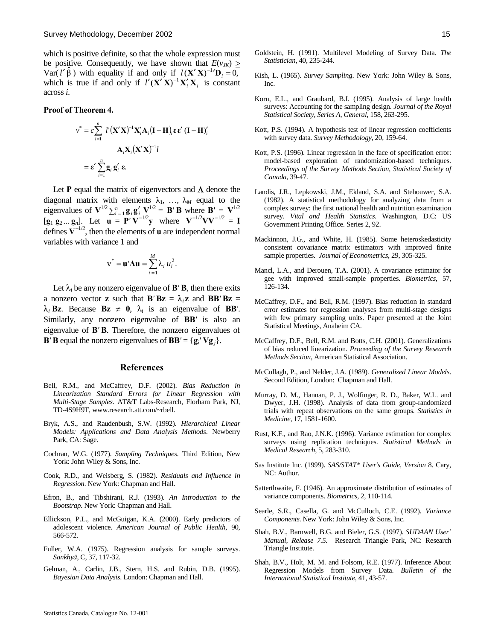which is positive definite, so that the whole expression must be positive. Consequently, we have shown that  $E(v_{JK}) >$  $Var(l' \hat{\beta})$  with equality if and only if  $l(X'X)^{-1}D_i = 0$ , which is true if and only if  $l'(\mathbf{X}'\mathbf{X})^{-1}\mathbf{X}'_i\mathbf{X}_i$  is constant across *i*.

#### **Proof of Theorem 4.**

$$
v^* = c \sum_{i=1}^n l'(\mathbf{X}'\mathbf{X})^{-1} \mathbf{X}'_i \mathbf{A}_i (\mathbf{I} - \mathbf{H})_i \mathbf{\varepsilon} \mathbf{\varepsilon}' (\mathbf{I} - \mathbf{H})'_i
$$

$$
\mathbf{A}_i \mathbf{X}_i (\mathbf{X}'\mathbf{X})^{-1} l
$$

$$
= \mathbf{\varepsilon}' \sum_{i=1}^n \mathbf{g}_i \mathbf{g}'_i \mathbf{\varepsilon}.
$$

Let **P** equal the matrix of eigenvectors and  $\Lambda$  denote the diagonal matrix with elements  $\lambda_1, \ldots, \lambda_M$  equal to the eigenvalues of  $\mathbf{V}^{1/2} \sum_{i=1}^{n} \mathbf{g}_i \mathbf{g}'_i \mathbf{V}^{1/2} = \mathbf{B}' \mathbf{B}$  where  $\mathbf{B}' = \mathbf{V}^{1/2}$  $[\mathbf{g}_1 \ \mathbf{g}_2 ... \ \mathbf{g}_n]$ . Let  $\mathbf{u} = \mathbf{P}' \mathbf{V}^{-1/2} \mathbf{y}$  where  $\mathbf{V}^{-1/2} \mathbf{V} \mathbf{V}^{-1/2} = \mathbf{I}$ defines  $V^{-1/2}$ , then the elements of **u** are independent normal variables with variance 1 and

$$
\mathbf{v}^* = \mathbf{u}' \mathbf{\Lambda} \mathbf{u} = \sum_{i=1}^M \lambda_i u_i^2.
$$

Let  $\lambda_i$  be any nonzero eigenvalue of **B**'**B**, then there exits a nonzero vector **z** such that  $\mathbf{B}'\mathbf{B}\mathbf{z} = \lambda_i \mathbf{z}$  and  $\mathbf{B}\mathbf{B}'\mathbf{B}\mathbf{z} =$  $\lambda_i$  **Bz**. Because **Bz**  $\neq$  **0**,  $\lambda_i$  is an eigenvalue of **BB**'. Similarly, any nonzero eigenvalue of **BB***'* is also an eigenvalue of **B***'* **B**. Therefore, the nonzero eigenvalues of **B**<sup>*'*</sup> **B** equal the nonzero eigenvalues of **BB**<sup>*'*</sup> = { $\mathbf{g}_i$ <sup>*'*</sup>  $\mathbf{V}\mathbf{g}_j$ }.

#### **References**

- Bell, R.M., and McCaffrey, D.F. (2002). *Bias Reduction in Linearization Standard Errors for Linear Regression with Multi-Stage Samples*. AT&T Labs-Research, Florham Park, NJ, TD-4S9H9T, www.research.att.com/~rbell.
- Bryk, A.S., and Raudenbush, S.W. (1992). *Hierarchical Linear Models: Applications and Data Analysis Methods*. Newberry Park, CA: Sage.
- Cochran, W.G. (1977). *Sampling Techniques*. Third Edition, New York: John Wiley & Sons, Inc.
- Cook, R.D., and Weisberg, S. (1982). *Residuals and Influence in Regression*. New York: Chapman and Hall.
- Efron, B., and Tibshirani, R.J. (1993). *An Introduction to the Bootstrap*. New York: Chapman and Hall.
- Ellickson, P.L., and McGuigan, K.A. (2000). Early predictors of adolescent violence. *American Journal of Public Health*, 90, 566-572.
- Fuller, W.A. (1975). Regression analysis for sample surveys. *Sankhyā*, C, 37, 117-32.
- Gelman, A., Carlin, J.B., Stern, H.S. and Rubin, D.B. (1995). *Bayesian Data Analysis*. London: Chapman and Hall.
- Goldstein, H. (1991). Multilevel Modeling of Survey Data. *The Statistician*, 40, 235-244.
- Kish, L. (1965). *Survey Sampling*. New York: John Wiley & Sons, Inc.
- Korn, E.L., and Graubard, B.I. (1995). Analysis of large health surveys: Accounting for the sampling design. *Journal of the Royal Statistical Society*, *Series A, General*, 158, 263-295.
- Kott, P.S. (1994). A hypothesis test of linear regression coefficients with survey data. *Survey Methodology*, 20, 159-64.
- Kott, P.S. (1996). Linear regression in the face of specification error: model-based exploration of randomization-based techniques. *Proceedings of the Survey Methods Section*, *Statistical Society of Canada*, 39-47.
- Landis, J.R., Lepkowski, J.M., Ekland, S.A. and Stehouwer, S.A. (1982). A statistical methodology for analyzing data from a complex survey: the first national health and nutrition examination survey. *Vital and Health Statistics*. Washington, D.C: US Government Printing Office. Series 2, 92.
- Mackinnon, J.G., and White, H. (1985). Some heteroskedasticity consistent covariance matrix estimators with improved finite sample properties. *Journal of Econometrics*, 29, 305-325.
- Mancl, L.A., and Derouen, T.A. (2001). A covariance estimator for gee with improved small-sample properties. *Biometrics*, 57, 126-134.
- McCaffrey, D.F., and Bell, R.M. (1997). Bias reduction in standard error estimates for regression analyses from multi-stage designs with few primary sampling units. Paper presented at the Joint Statistical Meetings, Anaheim CA.
- McCaffrey, D.F., Bell, R.M. and Botts, C.H. (2001). Generalizations of bias reduced linearization. *Proceeding of the Survey Research Methods Section*, American Statistical Association.
- McCullagh, P., and Nelder, J.A. (1989). *Generalized Linear Models*. Second Edition, London: Chapman and Hall.
- Murray, D. M., Hannan, P. J., Wolfinger, R. D., Baker, W.L. and Dwyer, J.H. (1998). Analysis of data from group-randomized trials with repeat observations on the same groups. *Statistics in Medicine*, 17, 1581-1600.
- Rust, K.F., and Rao, J.N.K. (1996). Variance estimation for complex surveys using replication techniques. *Statistical Methods in Medical Research*, 5, 283-310.
- Sas Institute Inc. (1999). *SAS/STAT\* User's Guide, Version* 8. Cary, NC: Author.
- Satterthwaite, F. (1946). An approximate distribution of estimates of variance components. *Biometrics*, 2, 110-114.
- Searle, S.R., Casella, G. and McCulloch, C.E. (1992). *Variance Components*. New York: John Wiley & Sons, Inc.
- Shah, B.V., Barnwell, B.G. and Bieler, G.S. (1997). *SUDAAN User' Manual, Release 7.5*. Research Triangle Park, NC: Research Triangle Institute.
- Shah, B.V., Holt, M. M. and Folsom, R.E. (1977). Inference About Regression Models from Survey Data. *Bulletin of the International Statistical Institute*, 41, 43-57.